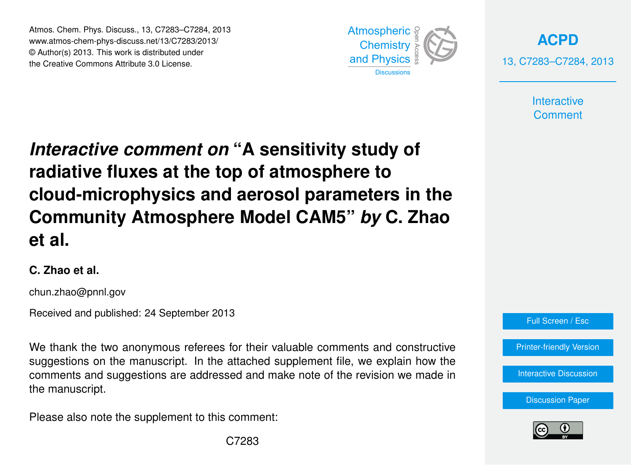Atmos. Chem. Phys. Discuss., 13, C7283–C7284, 2013 Atmospheric www.atmos-chem-phys-discuss.net/13/C7283/2013/<br>@ Author(a) 2012, This work is distributed under © Author(s) 2013. This work is distributed under the Creative Commons Attribute 3.0 License.



**[ACPD](http://www.atmos-chem-phys-discuss.net)** 13, C7283–C7284, 2013

> **Interactive Comment**

## *Interactive comment on* "A sensitivity study of Open Access  $\mathsf{f}$ radiative fluxes at the top of atmosphere to cle e us **Community Atmosphere Model CAM5"** *by* **C. Zhao** Open Access  $\overline{z}$ cloud-microphysics and aerosol parameters in the **et al.**

## **C. Zhao et al.**

chun.zhao@pnnl.gov

Received and published: 24 September 2013

ous reterees ง<br>in Methods and We thank the two anonymous referees for their valuable comments and constructive open Access suggestions on the manuscript. In the attached supplement file, we explain how the comments and suggestions are addressed and make note of the revision we made in<br>the manuserint e  $\mathsf{r}$ the manuscript.

Please also note the supplement to this comment:





[Printer-friendly Version](http://www.atmos-chem-phys-discuss.net/13/C7283/2013/acpd-13-C7283-2013-print.pdf)

[Interactive Discussion](http://www.atmos-chem-phys-discuss.net/13/12135/2013/acpd-13-12135-2013-discussion.html)

[Discussion Paper](http://www.atmos-chem-phys-discuss.net/13/12135/2013/acpd-13-12135-2013.pdf)